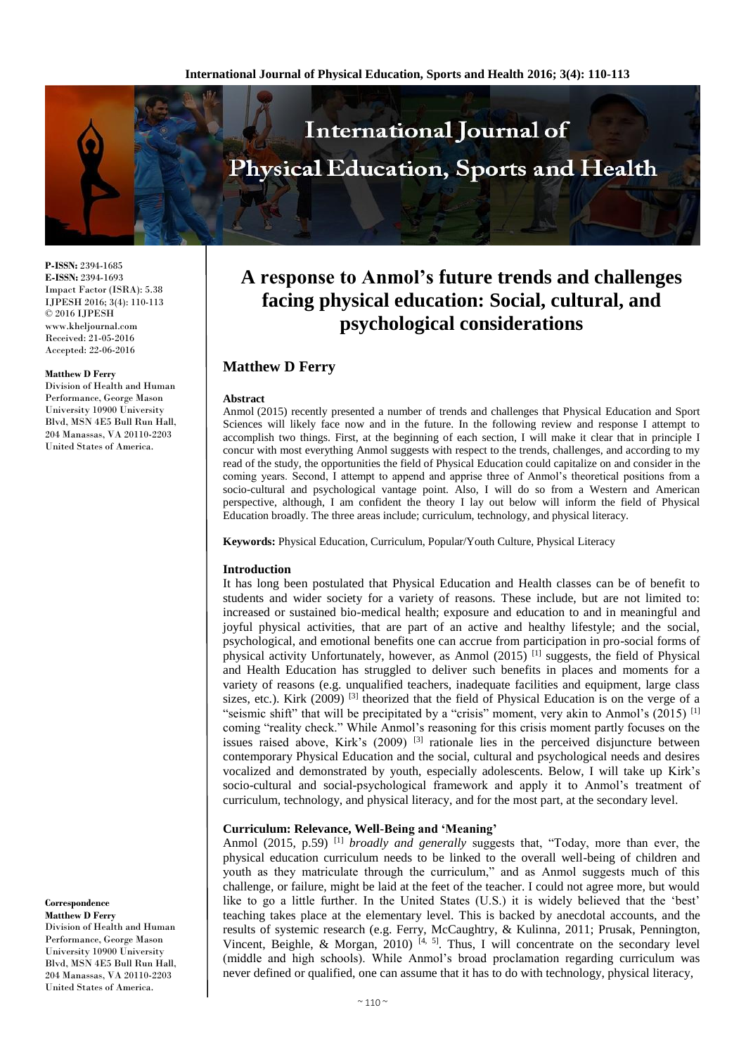

**P-ISSN:** 2394-1685 **E-ISSN:** 2394-1693 Impact Factor (ISRA): 5.38 IJPESH 2016; 3(4): 110-113 © 2016 IJPESH www.kheljournal.com Received: 21-05-2016 Accepted: 22-06-2016

#### **Matthew D Ferry**

Division of Health and Human Performance, George Mason University 10900 University Blvd, MSN 4E5 Bull Run Hall, 204 Manassas, VA 20110-2203 United States of America.

**Correspondence Matthew D Ferry**

Division of Health and Human Performance, George Mason University 10900 University Blvd, MSN 4E5 Bull Run Hall, 204 Manassas, VA 20110-2203 United States of America.

# **A response to Anmol's future trends and challenges facing physical education: Social, cultural, and psychological considerations**

# **Matthew D Ferry**

#### **Abstract**

Anmol (2015) recently presented a number of trends and challenges that Physical Education and Sport Sciences will likely face now and in the future. In the following review and response I attempt to accomplish two things. First, at the beginning of each section, I will make it clear that in principle I concur with most everything Anmol suggests with respect to the trends, challenges, and according to my read of the study, the opportunities the field of Physical Education could capitalize on and consider in the coming years. Second, I attempt to append and apprise three of Anmol's theoretical positions from a socio-cultural and psychological vantage point. Also, I will do so from a Western and American perspective, although, I am confident the theory I lay out below will inform the field of Physical Education broadly. The three areas include; curriculum, technology, and physical literacy.

**Keywords:** Physical Education, Curriculum, Popular/Youth Culture, Physical Literacy

#### **Introduction**

It has long been postulated that Physical Education and Health classes can be of benefit to students and wider society for a variety of reasons. These include, but are not limited to: increased or sustained bio-medical health; exposure and education to and in meaningful and joyful physical activities, that are part of an active and healthy lifestyle; and the social, psychological, and emotional benefits one can accrue from participation in pro-social forms of physical activity Unfortunately, however, as Anmol (2015) [1] suggests, the field of Physical and Health Education has struggled to deliver such benefits in places and moments for a variety of reasons (e.g. unqualified teachers, inadequate facilities and equipment, large class sizes, etc.). Kirk (2009)  $^{[3]}$  theorized that the field of Physical Education is on the verge of a "seismic shift" that will be precipitated by a "crisis" moment, very akin to Anmol's (2015)  $^{[1]}$ coming "reality check." While Anmol's reasoning for this crisis moment partly focuses on the issues raised above, Kirk's  $(2009)$   $^{[3]}$  rationale lies in the perceived disjuncture between contemporary Physical Education and the social, cultural and psychological needs and desires vocalized and demonstrated by youth, especially adolescents. Below, I will take up Kirk's socio-cultural and social-psychological framework and apply it to Anmol's treatment of curriculum, technology, and physical literacy, and for the most part, at the secondary level.

#### **Curriculum: Relevance, Well-Being and 'Meaning'**

Anmol (2015, p.59) [1] *broadly and generally* suggests that, "Today, more than ever, the physical education curriculum needs to be linked to the overall well-being of children and youth as they matriculate through the curriculum," and as Anmol suggests much of this challenge, or failure, might be laid at the feet of the teacher. I could not agree more, but would like to go a little further. In the United States (U.S.) it is widely believed that the 'best' teaching takes place at the elementary level. This is backed by anecdotal accounts, and the results of systemic research (e.g. Ferry, McCaughtry, & Kulinna*,* 2011; Prusak, Pennington, Vincent, Beighle, & Morgan, 2010)  $[4, 5]$ . Thus, I will concentrate on the secondary level (middle and high schools). While Anmol's broad proclamation regarding curriculum was never defined or qualified, one can assume that it has to do with technology, physical literacy,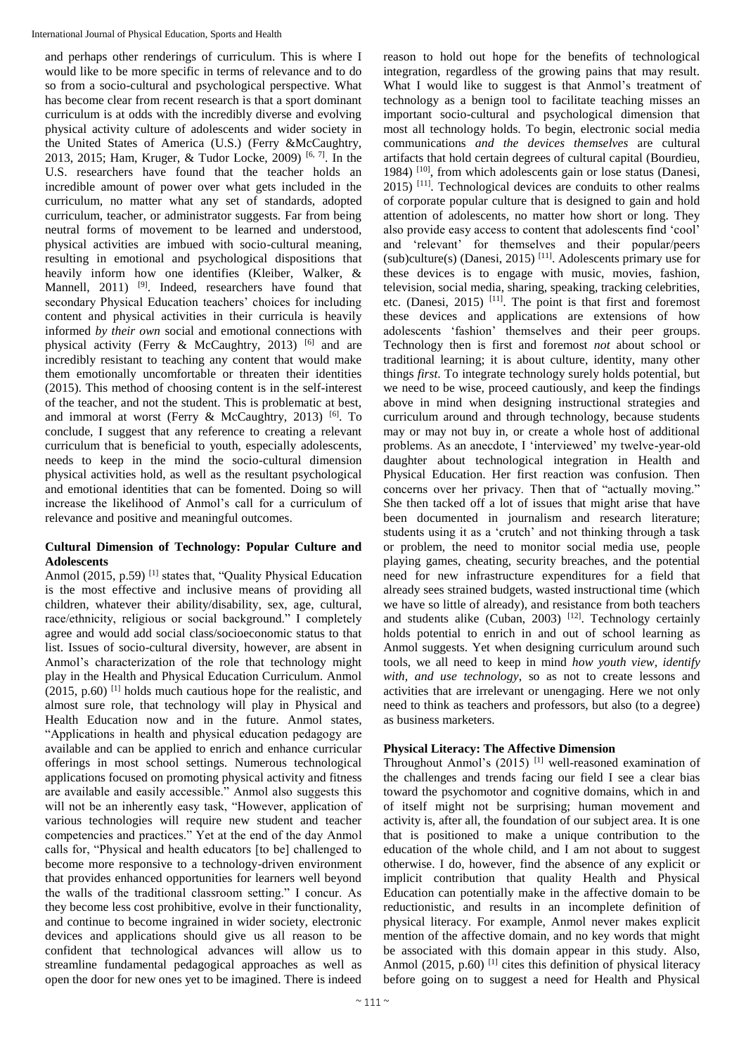and perhaps other renderings of curriculum. This is where I would like to be more specific in terms of relevance and to do so from a socio-cultural and psychological perspective. What has become clear from recent research is that a sport dominant curriculum is at odds with the incredibly diverse and evolving physical activity culture of adolescents and wider society in the United States of America (U.S.) (Ferry &McCaughtry, 2013, 2015; Ham, Kruger, & Tudor Locke, 2009) [6, 7]. In the U.S. researchers have found that the teacher holds an incredible amount of power over what gets included in the curriculum, no matter what any set of standards, adopted curriculum, teacher, or administrator suggests. Far from being neutral forms of movement to be learned and understood, physical activities are imbued with socio-cultural meaning, resulting in emotional and psychological dispositions that heavily inform how one identifies (Kleiber, Walker, & Mannell, 2011) <sup>[9]</sup>. Indeed, researchers have found that secondary Physical Education teachers' choices for including content and physical activities in their curricula is heavily informed *by their own* social and emotional connections with physical activity (Ferry & McCaughtry, 2013)  $[6]$  and are incredibly resistant to teaching any content that would make them emotionally uncomfortable or threaten their identities (2015). This method of choosing content is in the self-interest of the teacher, and not the student. This is problematic at best, and immoral at worst (Ferry & McCaughtry, 2013)<sup>[6]</sup>. To conclude, I suggest that any reference to creating a relevant curriculum that is beneficial to youth, especially adolescents, needs to keep in the mind the socio-cultural dimension physical activities hold, as well as the resultant psychological and emotional identities that can be fomented. Doing so will increase the likelihood of Anmol's call for a curriculum of relevance and positive and meaningful outcomes.

## **Cultural Dimension of Technology: Popular Culture and Adolescents**

Anmol (2015, p.59)<sup>[1]</sup> states that, "Quality Physical Education is the most effective and inclusive means of providing all children, whatever their ability/disability, sex, age, cultural, race/ethnicity, religious or social background." I completely agree and would add social class/socioeconomic status to that list. Issues of socio-cultural diversity, however, are absent in Anmol's characterization of the role that technology might play in the Health and Physical Education Curriculum. Anmol (2015, p.60) [1] holds much cautious hope for the realistic, and almost sure role, that technology will play in Physical and Health Education now and in the future. Anmol states, "Applications in health and physical education pedagogy are available and can be applied to enrich and enhance curricular offerings in most school settings. Numerous technological applications focused on promoting physical activity and fitness are available and easily accessible." Anmol also suggests this will not be an inherently easy task, "However, application of various technologies will require new student and teacher competencies and practices." Yet at the end of the day Anmol calls for, "Physical and health educators [to be] challenged to become more responsive to a technology-driven environment that provides enhanced opportunities for learners well beyond the walls of the traditional classroom setting." I concur. As they become less cost prohibitive, evolve in their functionality, and continue to become ingrained in wider society, electronic devices and applications should give us all reason to be confident that technological advances will allow us to streamline fundamental pedagogical approaches as well as open the door for new ones yet to be imagined. There is indeed

reason to hold out hope for the benefits of technological integration, regardless of the growing pains that may result. What I would like to suggest is that Anmol's treatment of technology as a benign tool to facilitate teaching misses an important socio-cultural and psychological dimension that most all technology holds. To begin, electronic social media communications *and the devices themselves* are cultural artifacts that hold certain degrees of cultural capital (Bourdieu, 1984) [10], from which adolescents gain or lose status (Danesi,  $2015$ ) <sup>[11]</sup>. Technological devices are conduits to other realms of corporate popular culture that is designed to gain and hold attention of adolescents, no matter how short or long. They also provide easy access to content that adolescents find 'cool' and 'relevant' for themselves and their popular/peers  $(sub)$ culture(s) (Danesi, 2015)<sup>[11]</sup>. Adolescents primary use for these devices is to engage with music, movies, fashion, television, social media, sharing, speaking, tracking celebrities, etc. (Danesi, 2015)  $^{[11]}$ . The point is that first and foremost these devices and applications are extensions of how adolescents 'fashion' themselves and their peer groups. Technology then is first and foremost *not* about school or traditional learning; it is about culture, identity, many other things *first*. To integrate technology surely holds potential, but we need to be wise, proceed cautiously, and keep the findings above in mind when designing instructional strategies and curriculum around and through technology, because students may or may not buy in, or create a whole host of additional problems. As an anecdote, I 'interviewed' my twelve-year-old daughter about technological integration in Health and Physical Education. Her first reaction was confusion. Then concerns over her privacy. Then that of "actually moving." She then tacked off a lot of issues that might arise that have been documented in journalism and research literature; students using it as a 'crutch' and not thinking through a task or problem, the need to monitor social media use, people playing games, cheating, security breaches, and the potential need for new infrastructure expenditures for a field that already sees strained budgets, wasted instructional time (which we have so little of already), and resistance from both teachers and students alike (Cuban, 2003)  $[12]$ . Technology certainly holds potential to enrich in and out of school learning as Anmol suggests. Yet when designing curriculum around such tools, we all need to keep in mind *how youth view, identify with, and use technology*, so as not to create lessons and activities that are irrelevant or unengaging. Here we not only need to think as teachers and professors, but also (to a degree) as business marketers.

# **Physical Literacy: The Affective Dimension**

Throughout Anmol's (2015) [1] well-reasoned examination of the challenges and trends facing our field I see a clear bias toward the psychomotor and cognitive domains, which in and of itself might not be surprising; human movement and activity is, after all, the foundation of our subject area. It is one that is positioned to make a unique contribution to the education of the whole child, and I am not about to suggest otherwise. I do, however, find the absence of any explicit or implicit contribution that quality Health and Physical Education can potentially make in the affective domain to be reductionistic, and results in an incomplete definition of physical literacy. For example, Anmol never makes explicit mention of the affective domain, and no key words that might be associated with this domain appear in this study. Also, Anmol (2015, p.60)<sup>[1]</sup> cites this definition of physical literacy before going on to suggest a need for Health and Physical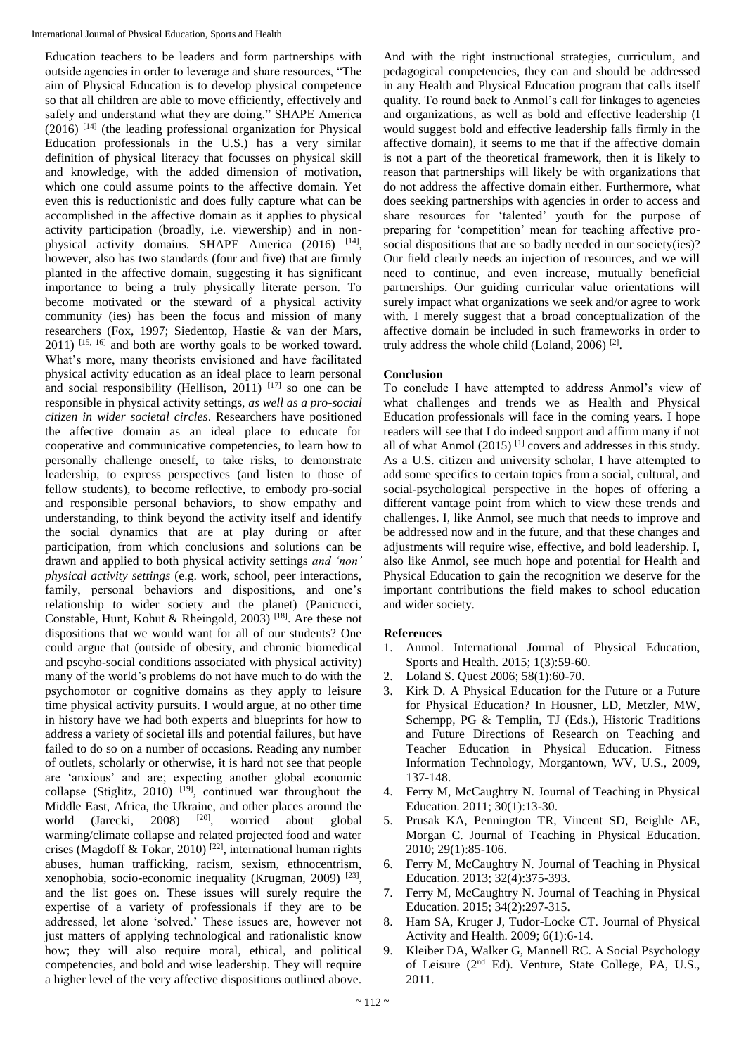Education teachers to be leaders and form partnerships with outside agencies in order to leverage and share resources, "The aim of Physical Education is to develop physical competence so that all children are able to move efficiently, effectively and safely and understand what they are doing." SHAPE America (2016) [14] (the leading professional organization for Physical Education professionals in the U.S.) has a very similar definition of physical literacy that focusses on physical skill and knowledge, with the added dimension of motivation, which one could assume points to the affective domain. Yet even this is reductionistic and does fully capture what can be accomplished in the affective domain as it applies to physical activity participation (broadly, i.e. viewership) and in nonphysical activity domains. SHAPE America (2016) [14], however, also has two standards (four and five) that are firmly planted in the affective domain, suggesting it has significant importance to being a truly physically literate person. To become motivated or the steward of a physical activity community (ies) has been the focus and mission of many researchers (Fox, 1997; Siedentop, Hastie & van der Mars,  $2011$ )  $^{[15, 16]}$  and both are worthy goals to be worked toward. What's more, many theorists envisioned and have facilitated physical activity education as an ideal place to learn personal and social responsibility (Hellison, 2011) [17] so one can be responsible in physical activity settings, *as well as a pro-social citizen in wider societal circles*. Researchers have positioned the affective domain as an ideal place to educate for cooperative and communicative competencies, to learn how to personally challenge oneself, to take risks, to demonstrate leadership, to express perspectives (and listen to those of fellow students), to become reflective, to embody pro-social and responsible personal behaviors, to show empathy and understanding, to think beyond the activity itself and identify the social dynamics that are at play during or after participation, from which conclusions and solutions can be drawn and applied to both physical activity settings *and 'non' physical activity settings* (e.g. work, school, peer interactions, family, personal behaviors and dispositions, and one's relationship to wider society and the planet) (Panicucci, Constable, Hunt, Kohut & Rheingold, 2003)<sup>[18]</sup>. Are these not dispositions that we would want for all of our students? One could argue that (outside of obesity, and chronic biomedical and pscyho-social conditions associated with physical activity) many of the world's problems do not have much to do with the psychomotor or cognitive domains as they apply to leisure time physical activity pursuits. I would argue, at no other time in history have we had both experts and blueprints for how to address a variety of societal ills and potential failures, but have failed to do so on a number of occasions. Reading any number of outlets, scholarly or otherwise, it is hard not see that people are 'anxious' and are; expecting another global economic collapse (Stiglitz, 2010)  $[19]$ , continued war throughout the Middle East, Africa, the Ukraine, and other places around the world (Jarecki, 2008) <sup>[20]</sup>, worried about global warming/climate collapse and related projected food and water crises (Magdoff & Tokar, 2010) [22], international human rights abuses, human trafficking, racism, sexism, ethnocentrism, xenophobia, socio-economic inequality (Krugman, 2009)<sup>[23]</sup>, and the list goes on. These issues will surely require the expertise of a variety of professionals if they are to be addressed, let alone 'solved.' These issues are, however not just matters of applying technological and rationalistic know how; they will also require moral, ethical, and political competencies, and bold and wise leadership. They will require a higher level of the very affective dispositions outlined above.

And with the right instructional strategies, curriculum, and pedagogical competencies, they can and should be addressed in any Health and Physical Education program that calls itself quality. To round back to Anmol's call for linkages to agencies and organizations, as well as bold and effective leadership (I would suggest bold and effective leadership falls firmly in the affective domain), it seems to me that if the affective domain is not a part of the theoretical framework, then it is likely to reason that partnerships will likely be with organizations that do not address the affective domain either. Furthermore, what does seeking partnerships with agencies in order to access and share resources for 'talented' youth for the purpose of preparing for 'competition' mean for teaching affective prosocial dispositions that are so badly needed in our society(ies)? Our field clearly needs an injection of resources, and we will need to continue, and even increase, mutually beneficial partnerships. Our guiding curricular value orientations will surely impact what organizations we seek and/or agree to work with. I merely suggest that a broad conceptualization of the affective domain be included in such frameworks in order to truly address the whole child (Loland, 2006)<sup>[2]</sup>.

## **Conclusion**

To conclude I have attempted to address Anmol's view of what challenges and trends we as Health and Physical Education professionals will face in the coming years. I hope readers will see that I do indeed support and affirm many if not all of what Anmol  $(2015)$ <sup>[1]</sup> covers and addresses in this study. As a U.S. citizen and university scholar, I have attempted to add some specifics to certain topics from a social, cultural, and social-psychological perspective in the hopes of offering a different vantage point from which to view these trends and challenges. I, like Anmol, see much that needs to improve and be addressed now and in the future, and that these changes and adjustments will require wise, effective, and bold leadership. I, also like Anmol, see much hope and potential for Health and Physical Education to gain the recognition we deserve for the important contributions the field makes to school education and wider society.

## **References**

- 1. Anmol. International Journal of Physical Education, Sports and Health. 2015; 1(3):59-60.
- 2. Loland S. Quest 2006; 58(1):60-70.
- 3. Kirk D. A Physical Education for the Future or a Future for Physical Education? In Housner, LD, Metzler, MW, Schempp, PG & Templin, TJ (Eds.), Historic Traditions and Future Directions of Research on Teaching and Teacher Education in Physical Education. Fitness Information Technology, Morgantown, WV, U.S., 2009, 137-148.
- 4. Ferry M, McCaughtry N. Journal of Teaching in Physical Education. 2011; 30(1):13-30.
- 5. Prusak KA, Pennington TR, Vincent SD, Beighle AE, Morgan C. Journal of Teaching in Physical Education. 2010; 29(1):85-106.
- 6. Ferry M, McCaughtry N. Journal of Teaching in Physical Education. 2013; 32(4):375-393.
- 7. Ferry M, McCaughtry N. Journal of Teaching in Physical Education. 2015; 34(2):297-315.
- 8. Ham SA, Kruger J, Tudor-Locke CT. Journal of Physical Activity and Health. 2009; 6(1):6-14.
- 9. Kleiber DA, Walker G, Mannell RC. A Social Psychology of Leisure (2nd Ed). Venture, State College, PA, U.S., 2011.